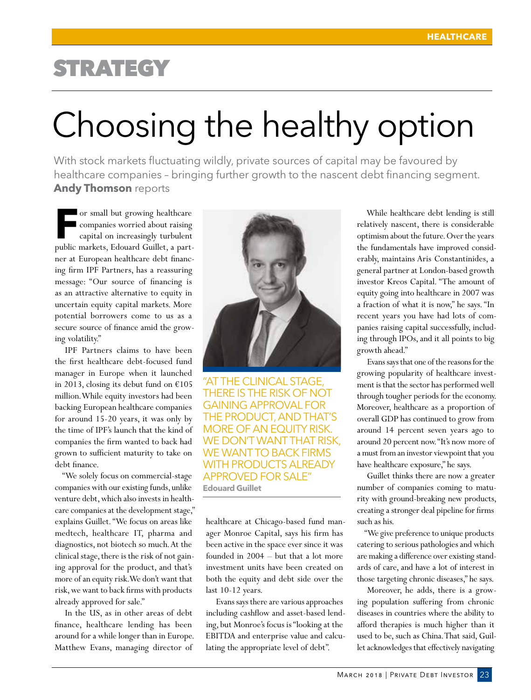## **STRATEGY**

# Choosing the healthy option

With stock markets fluctuating wildly, private sources of capital may be favoured by healthcare companies – bringing further growth to the nascent debt financing segment. **Andy Thomson** reports

For small but growing healthcare<br>
companies worried about raising<br>
capital on increasingly turbulent<br>
public markets. Edouard Cuillet a part companies worried about raising capital on increasingly turbulent public markets, Edouard Guillet, a partner at European healthcare debt financing firm IPF Partners, has a reassuring message: "Our source of financing is as an attractive alternative to equity in uncertain equity capital markets. More potential borrowers come to us as a secure source of finance amid the growing volatility."

IPF Partners claims to have been the first healthcare debt-focused fund manager in Europe when it launched in 2013, closing its debut fund on  $£105$ million. While equity investors had been backing European healthcare companies for around 15-20 years, it was only by the time of IPF's launch that the kind of companies the firm wanted to back had grown to sufficient maturity to take on debt finance.

"We solely focus on commercial-stage companies with our existing funds, unlike venture debt, which also invests in healthcare companies at the development stage," explains Guillet. "We focus on areas like medtech, healthcare IT, pharma and diagnostics, not biotech so much. At the clinical stage, there is the risk of not gaining approval for the product, and that's more of an equity risk. We don't want that risk, we want to back firms with products already approved for sale."

In the US, as in other areas of debt finance, healthcare lending has been around for a while longer than in Europe. Matthew Evans, managing director of



"AT THE CLINICAL STAGE, THERE IS THE RISK OF NOT GAINING APPROVAL FOR THE PRODUCT, AND THAT'S MORE OF AN EQUITY RISK. WE DON'T WANT THAT RISK, WE WANT TO BACK FIRMS WITH PRODUCTS ALREADY APPROVED FOR SALE" **Edouard Guillet**

healthcare at Chicago-based fund manager Monroe Capital, says his firm has been active in the space ever since it was founded in 2004 – but that a lot more investment units have been created on both the equity and debt side over the last 10-12 years.

Evans says there are various approaches including cashflow and asset-based lending, but Monroe's focus is "looking at the EBITDA and enterprise value and calculating the appropriate level of debt".

While healthcare debt lending is still relatively nascent, there is considerable optimism about the future. Over the years the fundamentals have improved considerably, maintains Aris Constantinides, a general partner at London-based growth investor Kreos Capital. "The amount of equity going into healthcare in 2007 was a fraction of what it is now," he says. "In recent years you have had lots of companies raising capital successfully, including through IPOs, and it all points to big growth ahead."

Evans says that one of the reasons for the growing popularity of healthcare investment is that the sector has performed well through tougher periods for the economy. Moreover, healthcare as a proportion of overall GDP has continued to grow from around 14 percent seven years ago to around 20 percent now. "It's now more of a must from an investor viewpoint that you have healthcare exposure," he says.

Guillet thinks there are now a greater number of companies coming to maturity with ground-breaking new products, creating a stronger deal pipeline for firms such as his.

"We give preference to unique products catering to serious pathologies and which are making a difference over existing standards of care, and have a lot of interest in those targeting chronic diseases," he says.

Moreover, he adds, there is a growing population suffering from chronic diseases in countries where the ability to afford therapies is much higher than it used to be, such as China. That said, Guillet acknowledges that effectively navigating